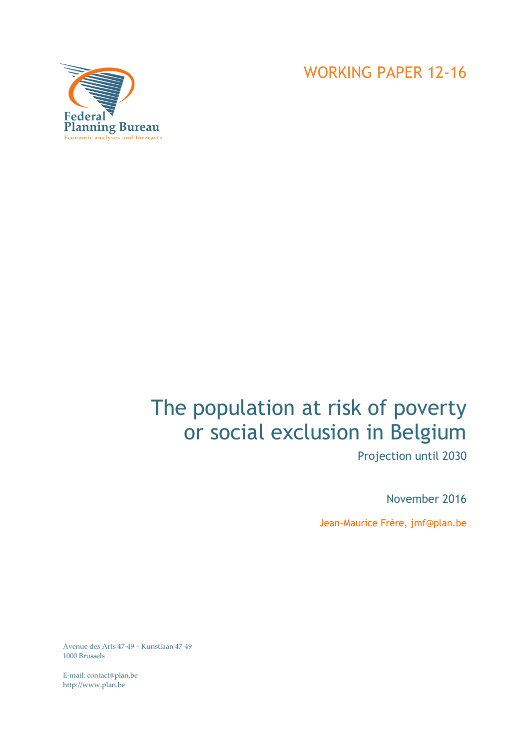

WORKING PAPER 12-16

# The population at risk of poverty or social exclusion in Belgium

Projection until 2030

November 2016

Jean-Maurice Frère, jmf@plan.be

Avenue des Arts 47-49 – Kunstlaan 47-49 1000 Brussels

E-mail: contact@plan.be http://www.plan.be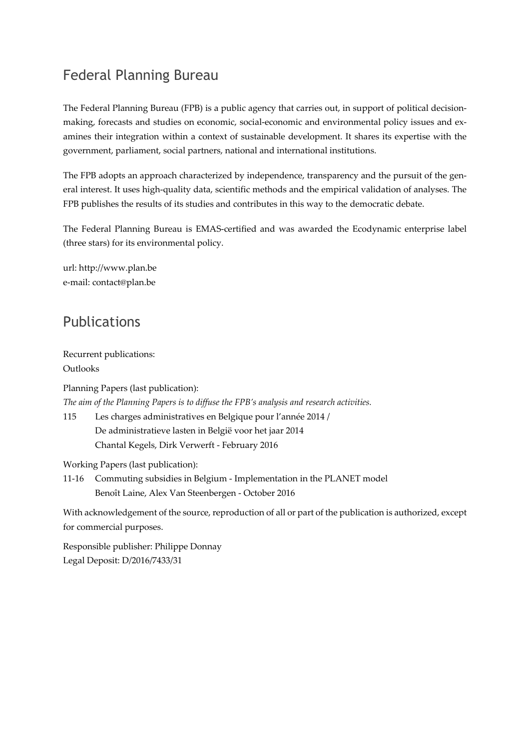# Federal Planning Bureau

The Federal Planning Bureau (FPB) is a public agency that carries out, in support of political decisionmaking, forecasts and studies on economic, social-economic and environmental policy issues and examines their integration within a context of sustainable development. It shares its expertise with the government, parliament, social partners, national and international institutions.

The FPB adopts an approach characterized by independence, transparency and the pursuit of the general interest. It uses high-quality data, scientific methods and the empirical validation of analyses. The FPB publishes the results of its studies and contributes in this way to the democratic debate.

The Federal Planning Bureau is EMAS-certified and was awarded the Ecodynamic enterprise label (three stars) for its environmental policy.

url: http://www.plan.be e-mail: contact@plan.be

### Publications

Recurrent publications: Outlooks

Planning Papers (last publication): *The aim of the Planning Papers is to diffuse the FPB's analysis and research activities.*  115 Les charges administratives en Belgique pour l'année 2014 / De administratieve lasten in België voor het jaar 2014 Chantal Kegels, Dirk Verwerft - February 2016

Working Papers (last publication):

11-16 Commuting subsidies in Belgium - Implementation in the PLANET model Benoît Laine, Alex Van Steenbergen - October 2016

With acknowledgement of the source, reproduction of all or part of the publication is authorized, except for commercial purposes.

Responsible publisher: Philippe Donnay Legal Deposit: D/2016/7433/31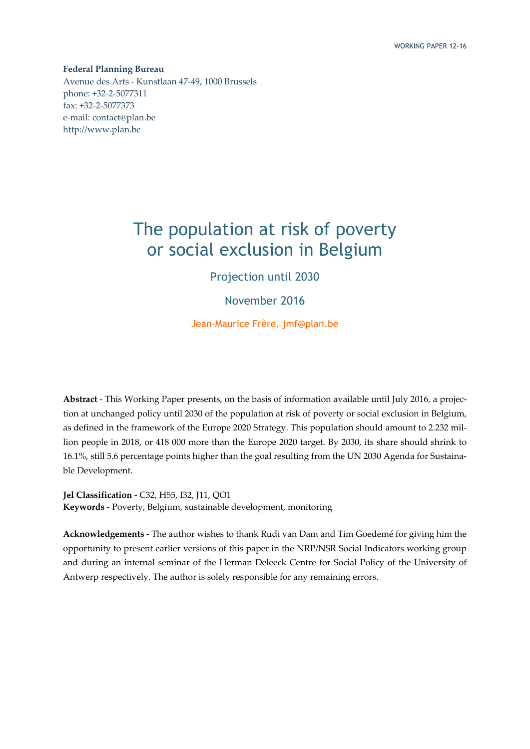**Federal Planning Bureau**  Avenue des Arts - Kunstlaan 47-49, 1000 Brussels phone: +32-2-5077311 fax: +32-2-5077373 e-mail: contact@plan.be http://www.plan.be

# The population at risk of poverty or social exclusion in Belgium

Projection until 2030

November 2016

Jean-Maurice Frère, jmf@plan.be

**Abstract** - This Working Paper presents, on the basis of information available until July 2016, a projection at unchanged policy until 2030 of the population at risk of poverty or social exclusion in Belgium, as defined in the framework of the Europe 2020 Strategy. This population should amount to 2.232 million people in 2018, or 418 000 more than the Europe 2020 target. By 2030, its share should shrink to 16.1%, still 5.6 percentage points higher than the goal resulting from the UN 2030 Agenda for Sustainable Development.

**Jel Classification** - C32, H55, I32, J11, QO1 **Keywords** - Poverty, Belgium, sustainable development, monitoring

**Acknowledgements** - The author wishes to thank Rudi van Dam and Tim Goedemé for giving him the opportunity to present earlier versions of this paper in the NRP/NSR Social Indicators working group and during an internal seminar of the Herman Deleeck Centre for Social Policy of the University of Antwerp respectively. The author is solely responsible for any remaining errors.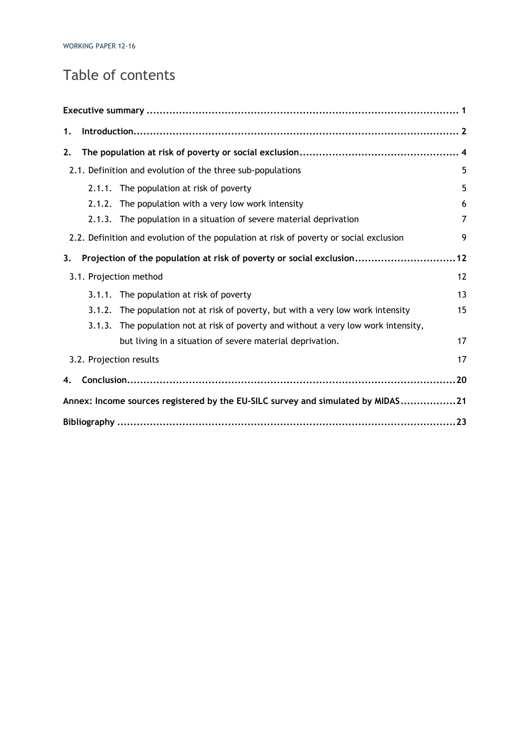# Table of contents

| 1.     |                                                                                        |    |
|--------|----------------------------------------------------------------------------------------|----|
| 2.     |                                                                                        |    |
|        | 2.1. Definition and evolution of the three sub-populations                             | 5  |
|        | 2.1.1. The population at risk of poverty                                               | 5  |
| 2.1.2. | The population with a very low work intensity                                          | 6  |
|        | 2.1.3. The population in a situation of severe material deprivation                    | 7  |
|        | 2.2. Definition and evolution of the population at risk of poverty or social exclusion | 9  |
| 3.     | Projection of the population at risk of poverty or social exclusion12                  |    |
|        | 3.1. Projection method                                                                 | 12 |
|        | 3.1.1. The population at risk of poverty                                               | 13 |
|        | 3.1.2. The population not at risk of poverty, but with a very low work intensity       | 15 |
| 3.1.3. | The population not at risk of poverty and without a very low work intensity,           |    |
|        | but living in a situation of severe material deprivation.                              | 17 |
|        | 3.2. Projection results                                                                | 17 |
| 4.     |                                                                                        |    |
|        | Annex: Income sources registered by the EU-SILC survey and simulated by MIDAS21        |    |
|        |                                                                                        |    |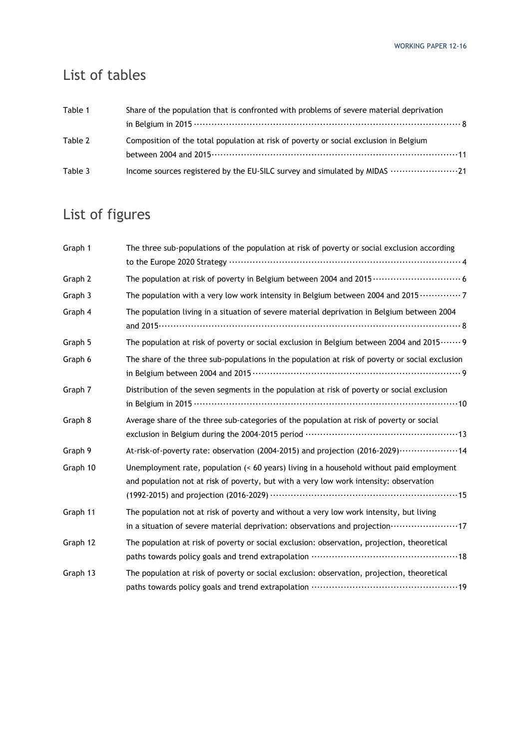# List of tables

| Table 1 | Share of the population that is confronted with problems of severe material deprivation |  |  |  |  |  |  |
|---------|-----------------------------------------------------------------------------------------|--|--|--|--|--|--|
|         |                                                                                         |  |  |  |  |  |  |
| Table 2 | Composition of the total population at risk of poverty or social exclusion in Belgium   |  |  |  |  |  |  |
|         |                                                                                         |  |  |  |  |  |  |
| Table 3 | Income sources registered by the EU-SILC survey and simulated by MIDAS 21               |  |  |  |  |  |  |

# List of figures

| Graph 1  | The three sub-populations of the population at risk of poverty or social exclusion according                                                                                                      |
|----------|---------------------------------------------------------------------------------------------------------------------------------------------------------------------------------------------------|
| Graph 2  |                                                                                                                                                                                                   |
| Graph 3  | The population with a very low work intensity in Belgium between 2004 and 2015  7                                                                                                                 |
| Graph 4  | The population living in a situation of severe material deprivation in Belgium between 2004                                                                                                       |
| Graph 5  | The population at risk of poverty or social exclusion in Belgium between 2004 and 2015……. 9                                                                                                       |
| Graph 6  | The share of the three sub-populations in the population at risk of poverty or social exclusion                                                                                                   |
| Graph 7  | Distribution of the seven segments in the population at risk of poverty or social exclusion                                                                                                       |
| Graph 8  | Average share of the three sub-categories of the population at risk of poverty or social                                                                                                          |
| Graph 9  | At-risk-of-poverty rate: observation (2004-2015) and projection (2016-2029) · · · · · · · · · · · · · · · · · 14                                                                                  |
| Graph 10 | Unemployment rate, population (< 60 years) living in a household without paid employment<br>and population not at risk of poverty, but with a very low work intensity: observation                |
| Graph 11 | The population not at risk of poverty and without a very low work intensity, but living<br>in a situation of severe material deprivation: observations and projection ·························17 |
| Graph 12 | The population at risk of poverty or social exclusion: observation, projection, theoretical                                                                                                       |
| Graph 13 | The population at risk of poverty or social exclusion: observation, projection, theoretical                                                                                                       |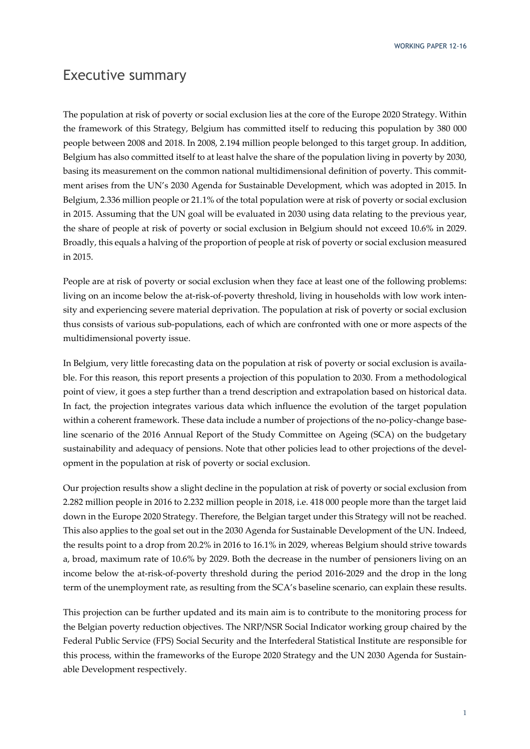WORKING PAPER 12-16

### Executive summary

The population at risk of poverty or social exclusion lies at the core of the Europe 2020 Strategy. Within the framework of this Strategy, Belgium has committed itself to reducing this population by 380 000 people between 2008 and 2018. In 2008, 2.194 million people belonged to this target group. In addition, Belgium has also committed itself to at least halve the share of the population living in poverty by 2030, basing its measurement on the common national multidimensional definition of poverty. This commitment arises from the UN's 2030 Agenda for Sustainable Development, which was adopted in 2015. In Belgium, 2.336 million people or 21.1% of the total population were at risk of poverty or social exclusion in 2015. Assuming that the UN goal will be evaluated in 2030 using data relating to the previous year, the share of people at risk of poverty or social exclusion in Belgium should not exceed 10.6% in 2029. Broadly, this equals a halving of the proportion of people at risk of poverty or social exclusion measured in 2015.

People are at risk of poverty or social exclusion when they face at least one of the following problems: living on an income below the at-risk-of-poverty threshold, living in households with low work intensity and experiencing severe material deprivation. The population at risk of poverty or social exclusion thus consists of various sub-populations, each of which are confronted with one or more aspects of the multidimensional poverty issue.

In Belgium, very little forecasting data on the population at risk of poverty or social exclusion is available. For this reason, this report presents a projection of this population to 2030. From a methodological point of view, it goes a step further than a trend description and extrapolation based on historical data. In fact, the projection integrates various data which influence the evolution of the target population within a coherent framework. These data include a number of projections of the no-policy-change baseline scenario of the 2016 Annual Report of the Study Committee on Ageing (SCA) on the budgetary sustainability and adequacy of pensions. Note that other policies lead to other projections of the development in the population at risk of poverty or social exclusion.

Our projection results show a slight decline in the population at risk of poverty or social exclusion from 2.282 million people in 2016 to 2.232 million people in 2018, i.e. 418 000 people more than the target laid down in the Europe 2020 Strategy. Therefore, the Belgian target under this Strategy will not be reached. This also applies to the goal set out in the 2030 Agenda for Sustainable Development of the UN. Indeed, the results point to a drop from 20.2% in 2016 to 16.1% in 2029, whereas Belgium should strive towards a, broad, maximum rate of 10.6% by 2029. Both the decrease in the number of pensioners living on an income below the at-risk-of-poverty threshold during the period 2016-2029 and the drop in the long term of the unemployment rate, as resulting from the SCA's baseline scenario, can explain these results.

This projection can be further updated and its main aim is to contribute to the monitoring process for the Belgian poverty reduction objectives. The NRP/NSR Social Indicator working group chaired by the Federal Public Service (FPS) Social Security and the Interfederal Statistical Institute are responsible for this process, within the frameworks of the Europe 2020 Strategy and the UN 2030 Agenda for Sustainable Development respectively.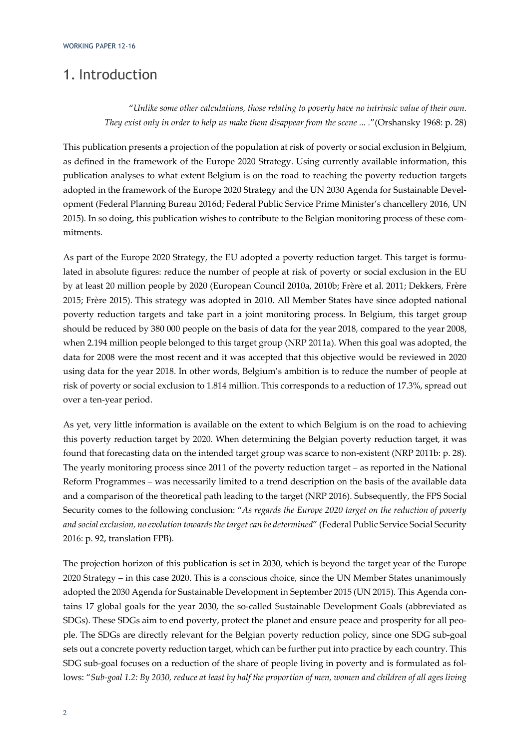### 1. Introduction

"*Unlike some other calculations, those relating to poverty have no intrinsic value of their own. They exist only in order to help us make them disappear from the scene ... .*"(Orshansky 1968: p. 28)

This publication presents a projection of the population at risk of poverty or social exclusion in Belgium, as defined in the framework of the Europe 2020 Strategy. Using currently available information, this publication analyses to what extent Belgium is on the road to reaching the poverty reduction targets adopted in the framework of the Europe 2020 Strategy and the UN 2030 Agenda for Sustainable Development (Federal Planning Bureau 2016d; Federal Public Service Prime Minister's chancellery 2016, UN 2015). In so doing, this publication wishes to contribute to the Belgian monitoring process of these commitments.

As part of the Europe 2020 Strategy, the EU adopted a poverty reduction target. This target is formulated in absolute figures: reduce the number of people at risk of poverty or social exclusion in the EU by at least 20 million people by 2020 (European Council 2010a, 2010b; Frère et al. 2011; Dekkers, Frère 2015; Frère 2015). This strategy was adopted in 2010. All Member States have since adopted national poverty reduction targets and take part in a joint monitoring process. In Belgium, this target group should be reduced by 380 000 people on the basis of data for the year 2018, compared to the year 2008, when 2.194 million people belonged to this target group (NRP 2011a). When this goal was adopted, the data for 2008 were the most recent and it was accepted that this objective would be reviewed in 2020 using data for the year 2018. In other words, Belgium's ambition is to reduce the number of people at risk of poverty or social exclusion to 1.814 million. This corresponds to a reduction of 17.3%, spread out over a ten-year period.

As yet, very little information is available on the extent to which Belgium is on the road to achieving this poverty reduction target by 2020. When determining the Belgian poverty reduction target, it was found that forecasting data on the intended target group was scarce to non-existent (NRP 2011b: p. 28). The yearly monitoring process since 2011 of the poverty reduction target – as reported in the National Reform Programmes – was necessarily limited to a trend description on the basis of the available data and a comparison of the theoretical path leading to the target (NRP 2016). Subsequently, the FPS Social Security comes to the following conclusion: "*As regards the Europe 2020 target on the reduction of poverty and social exclusion, no evolution towards the target can be determined*" (Federal Public Service Social Security 2016: p. 92, translation FPB).

The projection horizon of this publication is set in 2030, which is beyond the target year of the Europe 2020 Strategy – in this case 2020. This is a conscious choice, since the UN Member States unanimously adopted the 2030 Agenda for Sustainable Development in September 2015 (UN 2015). This Agenda contains 17 global goals for the year 2030, the so-called Sustainable Development Goals (abbreviated as SDGs). These SDGs aim to end poverty, protect the planet and ensure peace and prosperity for all people. The SDGs are directly relevant for the Belgian poverty reduction policy, since one SDG sub-goal sets out a concrete poverty reduction target, which can be further put into practice by each country. This SDG sub-goal focuses on a reduction of the share of people living in poverty and is formulated as follows: "*Sub-goal 1.2: By 2030, reduce at least by half the proportion of men, women and children of all ages living*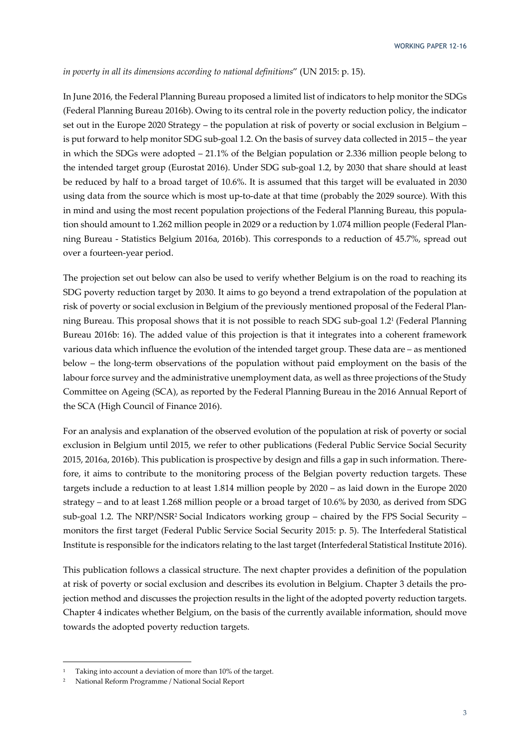#### *in poverty in all its dimensions according to national definitions*" (UN 2015: p. 15).

In June 2016, the Federal Planning Bureau proposed a limited list of indicators to help monitor the SDGs (Federal Planning Bureau 2016b). Owing to its central role in the poverty reduction policy, the indicator set out in the Europe 2020 Strategy – the population at risk of poverty or social exclusion in Belgium – is put forward to help monitor SDG sub-goal 1.2. On the basis of survey data collected in 2015 – the year in which the SDGs were adopted – 21.1% of the Belgian population or 2.336 million people belong to the intended target group (Eurostat 2016). Under SDG sub-goal 1.2, by 2030 that share should at least be reduced by half to a broad target of 10.6%. It is assumed that this target will be evaluated in 2030 using data from the source which is most up-to-date at that time (probably the 2029 source). With this in mind and using the most recent population projections of the Federal Planning Bureau, this population should amount to 1.262 million people in 2029 or a reduction by 1.074 million people (Federal Planning Bureau - Statistics Belgium 2016a, 2016b). This corresponds to a reduction of 45.7%, spread out over a fourteen-year period.

The projection set out below can also be used to verify whether Belgium is on the road to reaching its SDG poverty reduction target by 2030. It aims to go beyond a trend extrapolation of the population at risk of poverty or social exclusion in Belgium of the previously mentioned proposal of the Federal Planning Bureau. This proposal shows that it is not possible to reach SDG sub-goal 1.21 (Federal Planning Bureau 2016b: 16). The added value of this projection is that it integrates into a coherent framework various data which influence the evolution of the intended target group. These data are – as mentioned below – the long-term observations of the population without paid employment on the basis of the labour force survey and the administrative unemployment data, as well as three projections of the Study Committee on Ageing (SCA), as reported by the Federal Planning Bureau in the 2016 Annual Report of the SCA (High Council of Finance 2016).

For an analysis and explanation of the observed evolution of the population at risk of poverty or social exclusion in Belgium until 2015, we refer to other publications (Federal Public Service Social Security 2015, 2016a, 2016b). This publication is prospective by design and fills a gap in such information. Therefore, it aims to contribute to the monitoring process of the Belgian poverty reduction targets. These targets include a reduction to at least 1.814 million people by 2020 – as laid down in the Europe 2020 strategy – and to at least 1.268 million people or a broad target of 10.6% by 2030, as derived from SDG sub-goal 1.2. The NRP/NSR<sup>2</sup> Social Indicators working group – chaired by the FPS Social Security – monitors the first target (Federal Public Service Social Security 2015: p. 5). The Interfederal Statistical Institute is responsible for the indicators relating to the last target (Interfederal Statistical Institute 2016).

This publication follows a classical structure. The next chapter provides a definition of the population at risk of poverty or social exclusion and describes its evolution in Belgium. Chapter 3 details the projection method and discusses the projection results in the light of the adopted poverty reduction targets. Chapter 4 indicates whether Belgium, on the basis of the currently available information, should move towards the adopted poverty reduction targets.

<sup>1</sup> Taking into account a deviation of more than 10% of the target.

<sup>2</sup> National Reform Programme / National Social Report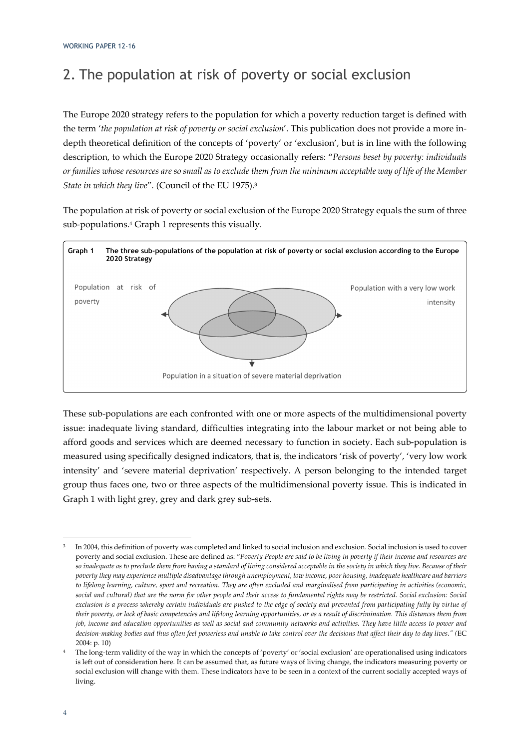# 2. The population at risk of poverty or social exclusion

The Europe 2020 strategy refers to the population for which a poverty reduction target is defined with the term '*the population at risk of poverty or social exclusion*'. This publication does not provide a more indepth theoretical definition of the concepts of 'poverty' or 'exclusion', but is in line with the following description, to which the Europe 2020 Strategy occasionally refers: "*Persons beset by poverty: individuals or families whose resources are so small as to exclude them from the minimum acceptable way of life of the Member State in which they live*"*.* (Council of the EU 1975).3

The population at risk of poverty or social exclusion of the Europe 2020 Strategy equals the sum of three sub-populations.4 Graph 1 represents this visually.



These sub-populations are each confronted with one or more aspects of the multidimensional poverty issue: inadequate living standard, difficulties integrating into the labour market or not being able to afford goods and services which are deemed necessary to function in society. Each sub-population is measured using specifically designed indicators, that is, the indicators 'risk of poverty', 'very low work intensity' and 'severe material deprivation' respectively. A person belonging to the intended target group thus faces one, two or three aspects of the multidimensional poverty issue. This is indicated in Graph 1 with light grey, grey and dark grey sub-sets.

<sup>3</sup> In 2004, this definition of poverty was completed and linked to social inclusion and exclusion. Social inclusion is used to cover poverty and social exclusion. These are defined as: "*Poverty People are said to be living in poverty if their income and resources are so inadequate as to preclude them from having a standard of living considered acceptable in the society in which they live. Because of their poverty they may experience multiple disadvantage through unemployment, low income, poor housing, inadequate healthcare and barriers to lifelong learning, culture, sport and recreation. They are often excluded and marginalised from participating in activities (economic, social and cultural) that are the norm for other people and their access to fundamental rights may be restricted. Social exclusion: Social exclusion is a process whereby certain individuals are pushed to the edge of society and prevented from participating fully by virtue of their poverty, or lack of basic competencies and lifelong learning opportunities, or as a result of discrimination. This distances them from job, income and education opportunities as well as social and community networks and activities. They have little access to power and decision-making bodies and thus often feel powerless and unable to take control over the decisions that affect their day to day lives." (*EC 2004: p. 10)

The long-term validity of the way in which the concepts of 'poverty' or 'social exclusion' are operationalised using indicators is left out of consideration here. It can be assumed that, as future ways of living change, the indicators measuring poverty or social exclusion will change with them. These indicators have to be seen in a context of the current socially accepted ways of living.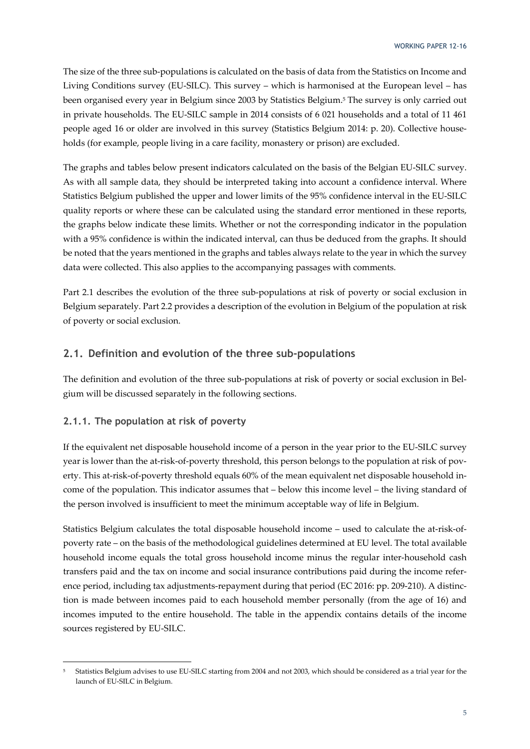The size of the three sub-populations is calculated on the basis of data from the Statistics on Income and Living Conditions survey (EU-SILC). This survey – which is harmonised at the European level – has been organised every year in Belgium since 2003 by Statistics Belgium.5 The survey is only carried out in private households. The EU-SILC sample in 2014 consists of 6 021 households and a total of 11 461 people aged 16 or older are involved in this survey (Statistics Belgium 2014: p. 20). Collective households (for example, people living in a care facility, monastery or prison) are excluded.

The graphs and tables below present indicators calculated on the basis of the Belgian EU-SILC survey. As with all sample data, they should be interpreted taking into account a confidence interval. Where Statistics Belgium published the upper and lower limits of the 95% confidence interval in the EU-SILC quality reports or where these can be calculated using the standard error mentioned in these reports, the graphs below indicate these limits. Whether or not the corresponding indicator in the population with a 95% confidence is within the indicated interval, can thus be deduced from the graphs. It should be noted that the years mentioned in the graphs and tables always relate to the year in which the survey data were collected. This also applies to the accompanying passages with comments.

Part 2.1 describes the evolution of the three sub-populations at risk of poverty or social exclusion in Belgium separately. Part 2.2 provides a description of the evolution in Belgium of the population at risk of poverty or social exclusion.

### **2.1. Definition and evolution of the three sub-populations**

The definition and evolution of the three sub-populations at risk of poverty or social exclusion in Belgium will be discussed separately in the following sections.

### **2.1.1. The population at risk of poverty**

If the equivalent net disposable household income of a person in the year prior to the EU-SILC survey year is lower than the at-risk-of-poverty threshold, this person belongs to the population at risk of poverty. This at-risk-of-poverty threshold equals 60% of the mean equivalent net disposable household income of the population. This indicator assumes that – below this income level – the living standard of the person involved is insufficient to meet the minimum acceptable way of life in Belgium.

Statistics Belgium calculates the total disposable household income – used to calculate the at-risk-ofpoverty rate – on the basis of the methodological guidelines determined at EU level. The total available household income equals the total gross household income minus the regular inter-household cash transfers paid and the tax on income and social insurance contributions paid during the income reference period, including tax adjustments-repayment during that period (EC 2016: pp. 209-210). A distinction is made between incomes paid to each household member personally (from the age of 16) and incomes imputed to the entire household. The table in the appendix contains details of the income sources registered by EU-SILC.

<sup>-</sup>5 Statistics Belgium advises to use EU-SILC starting from 2004 and not 2003, which should be considered as a trial year for the launch of EU-SILC in Belgium.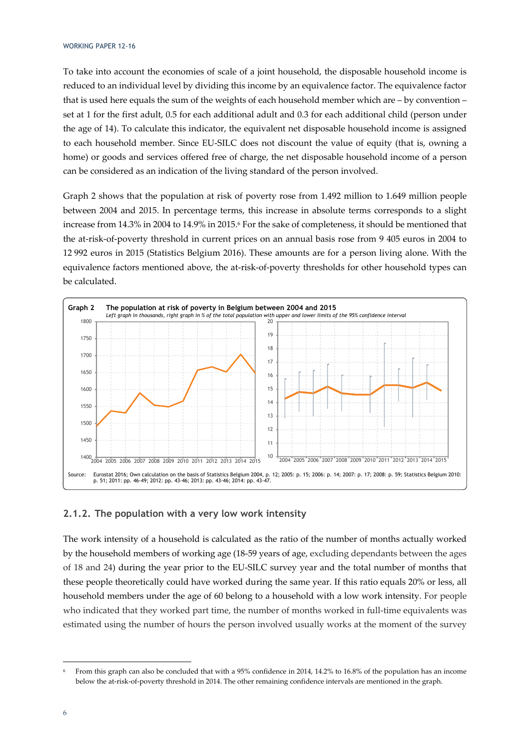#### WORKING PAPER 12-16

To take into account the economies of scale of a joint household, the disposable household income is reduced to an individual level by dividing this income by an equivalence factor. The equivalence factor that is used here equals the sum of the weights of each household member which are – by convention – set at 1 for the first adult, 0.5 for each additional adult and 0.3 for each additional child (person under the age of 14). To calculate this indicator, the equivalent net disposable household income is assigned to each household member. Since EU-SILC does not discount the value of equity (that is, owning a home) or goods and services offered free of charge, the net disposable household income of a person can be considered as an indication of the living standard of the person involved.

Graph 2 shows that the population at risk of poverty rose from 1.492 million to 1.649 million people between 2004 and 2015. In percentage terms, this increase in absolute terms corresponds to a slight increase from 14.3% in 2004 to 14.9% in 2015.6 For the sake of completeness, it should be mentioned that the at-risk-of-poverty threshold in current prices on an annual basis rose from 9 405 euros in 2004 to 12 992 euros in 2015 (Statistics Belgium 2016). These amounts are for a person living alone. With the equivalence factors mentioned above, the at-risk-of-poverty thresholds for other household types can be calculated.



### **2.1.2. The population with a very low work intensity**

The work intensity of a household is calculated as the ratio of the number of months actually worked by the household members of working age (18-59 years of age, excluding dependants between the ages of 18 and 24) during the year prior to the EU-SILC survey year and the total number of months that these people theoretically could have worked during the same year. If this ratio equals 20% or less, all household members under the age of 60 belong to a household with a low work intensity. For people who indicated that they worked part time, the number of months worked in full-time equivalents was estimated using the number of hours the person involved usually works at the moment of the survey

<sup>6</sup> From this graph can also be concluded that with a 95% confidence in 2014, 14.2% to 16.8% of the population has an income below the at-risk-of-poverty threshold in 2014. The other remaining confidence intervals are mentioned in the graph.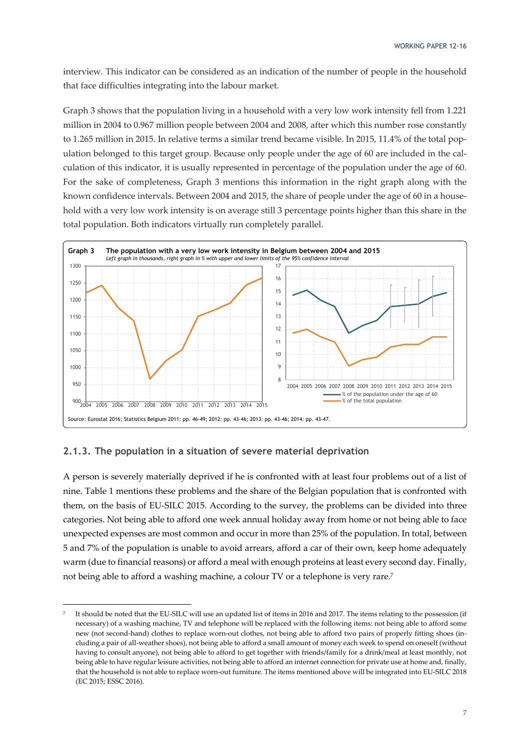interview. This indicator can be considered as an indication of the number of people in the household that face difficulties integrating into the labour market.

Graph 3 shows that the population living in a household with a very low work intensity fell from 1.221 million in 2004 to 0.967 million people between 2004 and 2008, after which this number rose constantly to 1.265 million in 2015. In relative terms a similar trend became visible. In 2015, 11.4% of the total population belonged to this target group. Because only people under the age of 60 are included in the calculation of this indicator, it is usually represented in percentage of the population under the age of 60. For the sake of completeness, Graph 3 mentions this information in the right graph along with the known confidence intervals. Between 2004 and 2015, the share of people under the age of 60 in a household with a very low work intensity is on average still 3 percentage points higher than this share in the total population. Both indicators virtually run completely parallel.



#### **2.1.3. The population in a situation of severe material deprivation**

-

A person is severely materially deprived if he is confronted with at least four problems out of a list of nine. Table 1 mentions these problems and the share of the Belgian population that is confronted with them, on the basis of EU-SILC 2015. According to the survey, the problems can be divided into three categories. Not being able to afford one week annual holiday away from home or not being able to face unexpected expenses are most common and occur in more than 25% of the population. In total, between 5 and 7% of the population is unable to avoid arrears, afford a car of their own, keep home adequately warm (due to financial reasons) or afford a meal with enough proteins at least every second day. Finally, not being able to afford a washing machine, a colour TV or a telephone is very rare.7

It should be noted that the EU-SILC will use an updated list of items in 2016 and 2017. The items relating to the possession (if necessary) of a washing machine, TV and telephone will be replaced with the following items: not being able to afford some new (not second-hand) clothes to replace worn-out clothes, not being able to afford two pairs of properly fitting shoes (including a pair of all-weather shoes), not being able to afford a small amount of money each week to spend on oneself (without having to consult anyone), not being able to afford to get together with friends/family for a drink/meal at least monthly, not being able to have regular leisure activities, not being able to afford an internet connection for private use at home and, finally, that the household is not able to replace worn-out furniture. The items mentioned above will be integrated into EU-SILC 2018 (EC 2015; ESSC 2016).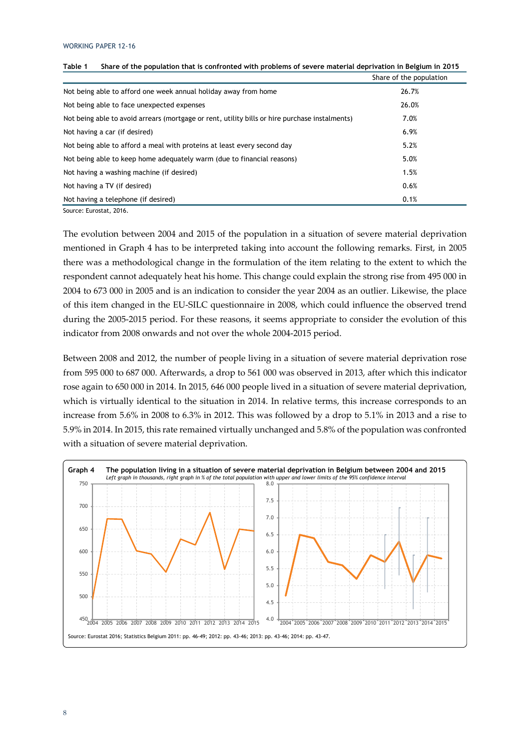|                                                                                                | Share of the population |
|------------------------------------------------------------------------------------------------|-------------------------|
| Not being able to afford one week annual holiday away from home                                | 26.7%                   |
| Not being able to face unexpected expenses                                                     | 26.0%                   |
| Not being able to avoid arrears (mortgage or rent, utility bills or hire purchase instalments) | 7.0%                    |
| Not having a car (if desired)                                                                  | 6.9%                    |
| Not being able to afford a meal with proteins at least every second day                        | 5.2%                    |
| Not being able to keep home adequately warm (due to financial reasons)                         | 5.0%                    |
| Not having a washing machine (if desired)                                                      | 1.5%                    |
| Not having a TV (if desired)                                                                   | 0.6%                    |
| Not having a telephone (if desired)                                                            | 0.1%                    |

Source: Eurostat, 2016.

The evolution between 2004 and 2015 of the population in a situation of severe material deprivation mentioned in Graph 4 has to be interpreted taking into account the following remarks. First, in 2005 there was a methodological change in the formulation of the item relating to the extent to which the respondent cannot adequately heat his home. This change could explain the strong rise from 495 000 in 2004 to 673 000 in 2005 and is an indication to consider the year 2004 as an outlier. Likewise, the place of this item changed in the EU-SILC questionnaire in 2008, which could influence the observed trend during the 2005-2015 period. For these reasons, it seems appropriate to consider the evolution of this indicator from 2008 onwards and not over the whole 2004-2015 period.

Between 2008 and 2012, the number of people living in a situation of severe material deprivation rose from 595 000 to 687 000. Afterwards, a drop to 561 000 was observed in 2013, after which this indicator rose again to 650 000 in 2014. In 2015, 646 000 people lived in a situation of severe material deprivation, which is virtually identical to the situation in 2014. In relative terms, this increase corresponds to an increase from 5.6% in 2008 to 6.3% in 2012. This was followed by a drop to 5.1% in 2013 and a rise to 5.9% in 2014. In 2015, this rate remained virtually unchanged and 5.8% of the population was confronted with a situation of severe material deprivation.

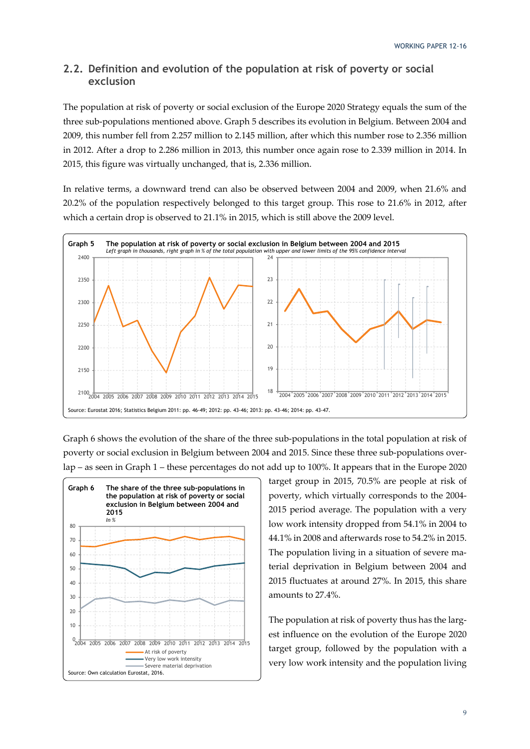### **2.2. Definition and evolution of the population at risk of poverty or social exclusion**

The population at risk of poverty or social exclusion of the Europe 2020 Strategy equals the sum of the three sub-populations mentioned above. Graph 5 describes its evolution in Belgium. Between 2004 and 2009, this number fell from 2.257 million to 2.145 million, after which this number rose to 2.356 million in 2012. After a drop to 2.286 million in 2013, this number once again rose to 2.339 million in 2014. In 2015, this figure was virtually unchanged, that is, 2.336 million.

In relative terms, a downward trend can also be observed between 2004 and 2009, when 21.6% and 20.2% of the population respectively belonged to this target group. This rose to 21.6% in 2012, after which a certain drop is observed to 21.1% in 2015, which is still above the 2009 level.



Graph 6 shows the evolution of the share of the three sub-populations in the total population at risk of poverty or social exclusion in Belgium between 2004 and 2015. Since these three sub-populations overlap – as seen in Graph 1 – these percentages do not add up to 100%. It appears that in the Europe 2020



target group in 2015, 70.5% are people at risk of poverty, which virtually corresponds to the 2004- 2015 period average. The population with a very low work intensity dropped from 54.1% in 2004 to 44.1% in 2008 and afterwards rose to 54.2% in 2015. The population living in a situation of severe material deprivation in Belgium between 2004 and 2015 fluctuates at around 27%. In 2015, this share amounts to 27.4%.

The population at risk of poverty thus has the largest influence on the evolution of the Europe 2020 target group, followed by the population with a very low work intensity and the population living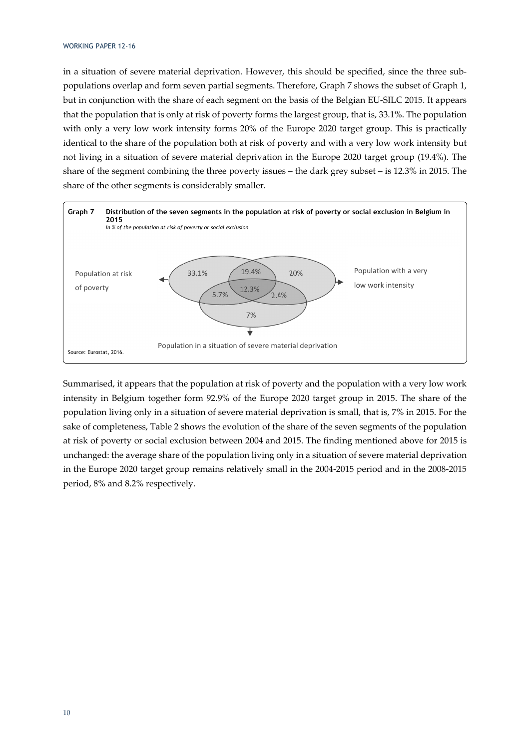in a situation of severe material deprivation. However, this should be specified, since the three subpopulations overlap and form seven partial segments. Therefore, Graph 7 shows the subset of Graph 1, but in conjunction with the share of each segment on the basis of the Belgian EU-SILC 2015. It appears that the population that is only at risk of poverty forms the largest group, that is, 33.1%. The population with only a very low work intensity forms 20% of the Europe 2020 target group. This is practically identical to the share of the population both at risk of poverty and with a very low work intensity but not living in a situation of severe material deprivation in the Europe 2020 target group (19.4%). The share of the segment combining the three poverty issues – the dark grey subset – is 12.3% in 2015. The share of the other segments is considerably smaller.



Summarised, it appears that the population at risk of poverty and the population with a very low work intensity in Belgium together form 92.9% of the Europe 2020 target group in 2015. The share of the population living only in a situation of severe material deprivation is small, that is, 7% in 2015. For the sake of completeness, Table 2 shows the evolution of the share of the seven segments of the population at risk of poverty or social exclusion between 2004 and 2015. The finding mentioned above for 2015 is unchanged: the average share of the population living only in a situation of severe material deprivation in the Europe 2020 target group remains relatively small in the 2004-2015 period and in the 2008-2015 period, 8% and 8.2% respectively.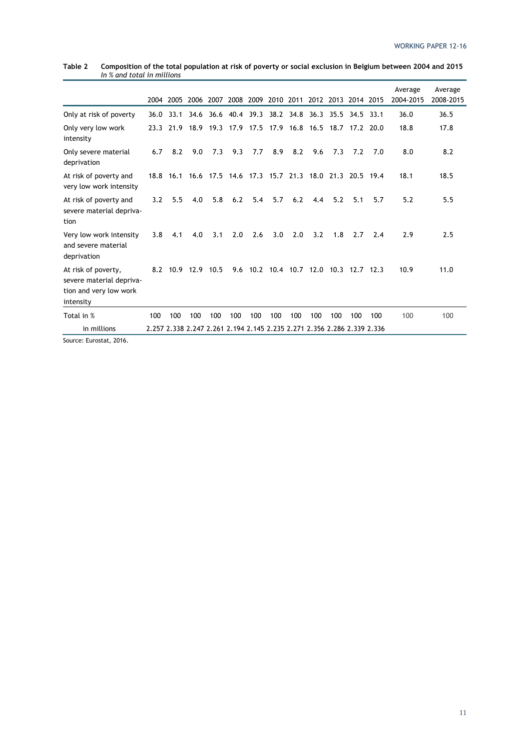|                                                                                        |      | 2004 2005          | 2006 | 2007                                                                    |     | 2008 2009 |                                        |     | 2010 2011 2012 2013 2014 2015 |     |                     |     | Average<br>2004-2015 | Average<br>2008-2015 |
|----------------------------------------------------------------------------------------|------|--------------------|------|-------------------------------------------------------------------------|-----|-----------|----------------------------------------|-----|-------------------------------|-----|---------------------|-----|----------------------|----------------------|
| Only at risk of poverty                                                                | 36.0 | 33.1               |      | 34.6 36.6 40.4 39.3 38.2 34.8                                           |     |           |                                        |     |                               |     | 36.3 35.5 34.5 33.1 |     | 36.0                 | 36.5                 |
| Only very low work<br>intensity                                                        | 23.3 |                    |      | 21.9 18.9 19.3 17.9 17.5 17.9 16.8 16.5 18.7 17.2 20.0                  |     |           |                                        |     |                               |     |                     |     | 18.8                 | 17.8                 |
| Only severe material<br>deprivation                                                    | 6.7  | 8.2                | 9.0  | 7.3                                                                     | 9.3 | 7.7       | 8.9                                    | 8.2 | 9.6                           | 7.3 | 7.2                 | 7.0 | 8.0                  | 8.2                  |
| At risk of poverty and<br>very low work intensity                                      |      |                    |      | 18.8 16.1 16.6 17.5 14.6 17.3 15.7 21.3 18.0 21.3 20.5 19.4             |     |           |                                        |     |                               |     |                     |     | 18.1                 | 18.5                 |
| At risk of poverty and<br>severe material depriva-<br>tion                             | 3.2  | 5.5                | 4.0  | 5.8                                                                     | 6.2 | 5.4       | 5.7                                    | 6.2 | 4.4                           | 5.2 | 5.1                 | 5.7 | 5.2                  | 5.5                  |
| Very low work intensity<br>and severe material<br>deprivation                          | 3.8  | 4.1                | 4.0  | 3.1                                                                     | 2.0 | 2.6       | 3.0                                    | 2.0 | 3.2                           | 1.8 | 2.7                 | 2.4 | 2.9                  | 2.5                  |
| At risk of poverty,<br>severe material depriva-<br>tion and very low work<br>intensity |      | 8.2 10.9 12.9 10.5 |      |                                                                         |     |           | 9.6 10.2 10.4 10.7 12.0 10.3 12.7 12.3 |     |                               |     |                     |     | 10.9                 | 11.0                 |
| Total in %                                                                             | 100  | 100                | 100  | 100                                                                     | 100 | 100       | 100                                    | 100 | 100                           | 100 | 100                 | 100 | 100                  | 100                  |
| in millions                                                                            |      |                    |      | 2.257 2.338 2.247 2.261 2.194 2.145 2.235 2.271 2.356 2.286 2.339 2.336 |     |           |                                        |     |                               |     |                     |     |                      |                      |

| Table 2 | Composition of the total population at risk of poverty or social exclusion in Belgium between 2004 and 2015 |
|---------|-------------------------------------------------------------------------------------------------------------|
|         | In % and total in millions                                                                                  |

Source: Eurostat, 2016.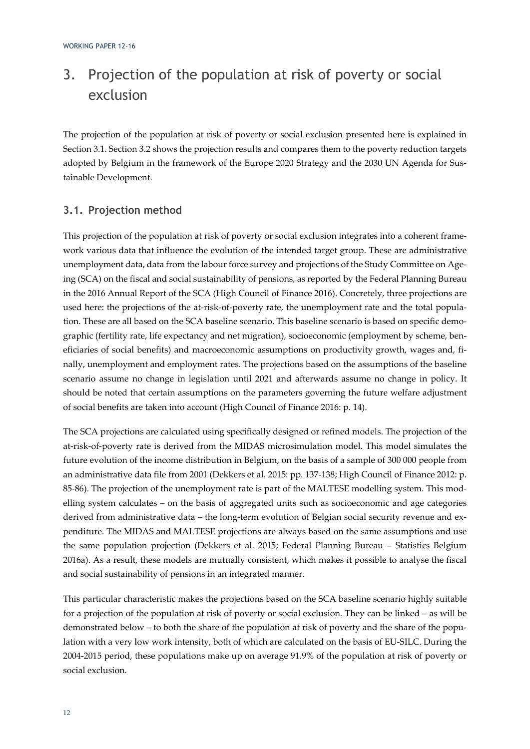# 3. Projection of the population at risk of poverty or social exclusion

The projection of the population at risk of poverty or social exclusion presented here is explained in Section 3.1. Section 3.2 shows the projection results and compares them to the poverty reduction targets adopted by Belgium in the framework of the Europe 2020 Strategy and the 2030 UN Agenda for Sustainable Development.

### **3.1. Projection method**

This projection of the population at risk of poverty or social exclusion integrates into a coherent framework various data that influence the evolution of the intended target group. These are administrative unemployment data, data from the labour force survey and projections of the Study Committee on Ageing (SCA) on the fiscal and social sustainability of pensions, as reported by the Federal Planning Bureau in the 2016 Annual Report of the SCA (High Council of Finance 2016). Concretely, three projections are used here: the projections of the at-risk-of-poverty rate, the unemployment rate and the total population. These are all based on the SCA baseline scenario. This baseline scenario is based on specific demographic (fertility rate, life expectancy and net migration), socioeconomic (employment by scheme, beneficiaries of social benefits) and macroeconomic assumptions on productivity growth, wages and, finally, unemployment and employment rates. The projections based on the assumptions of the baseline scenario assume no change in legislation until 2021 and afterwards assume no change in policy. It should be noted that certain assumptions on the parameters governing the future welfare adjustment of social benefits are taken into account (High Council of Finance 2016: p. 14).

The SCA projections are calculated using specifically designed or refined models. The projection of the at-risk-of-poverty rate is derived from the MIDAS microsimulation model. This model simulates the future evolution of the income distribution in Belgium, on the basis of a sample of 300 000 people from an administrative data file from 2001 (Dekkers et al. 2015: pp. 137-138; High Council of Finance 2012: p. 85-86). The projection of the unemployment rate is part of the MALTESE modelling system. This modelling system calculates – on the basis of aggregated units such as socioeconomic and age categories derived from administrative data – the long-term evolution of Belgian social security revenue and expenditure. The MIDAS and MALTESE projections are always based on the same assumptions and use the same population projection (Dekkers et al. 2015; Federal Planning Bureau – Statistics Belgium 2016a). As a result, these models are mutually consistent, which makes it possible to analyse the fiscal and social sustainability of pensions in an integrated manner.

This particular characteristic makes the projections based on the SCA baseline scenario highly suitable for a projection of the population at risk of poverty or social exclusion. They can be linked – as will be demonstrated below – to both the share of the population at risk of poverty and the share of the population with a very low work intensity, both of which are calculated on the basis of EU-SILC. During the 2004-2015 period, these populations make up on average 91.9% of the population at risk of poverty or social exclusion.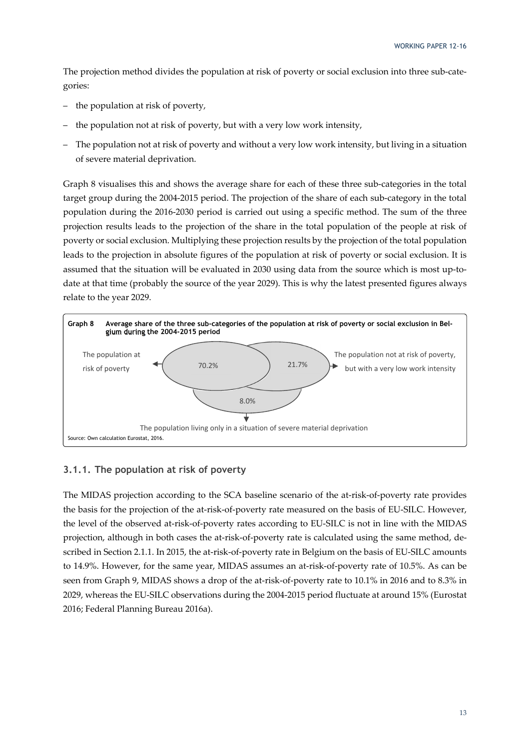The projection method divides the population at risk of poverty or social exclusion into three sub-categories:

- the population at risk of poverty,
- the population not at risk of poverty, but with a very low work intensity,
- The population not at risk of poverty and without a very low work intensity, but living in a situation of severe material deprivation.

Graph 8 visualises this and shows the average share for each of these three sub-categories in the total target group during the 2004-2015 period. The projection of the share of each sub-category in the total population during the 2016-2030 period is carried out using a specific method. The sum of the three projection results leads to the projection of the share in the total population of the people at risk of poverty or social exclusion. Multiplying these projection results by the projection of the total population leads to the projection in absolute figures of the population at risk of poverty or social exclusion. It is assumed that the situation will be evaluated in 2030 using data from the source which is most up-todate at that time (probably the source of the year 2029). This is why the latest presented figures always relate to the year 2029.



### **3.1.1. The population at risk of poverty**

The MIDAS projection according to the SCA baseline scenario of the at-risk-of-poverty rate provides the basis for the projection of the at-risk-of-poverty rate measured on the basis of EU-SILC. However, the level of the observed at-risk-of-poverty rates according to EU-SILC is not in line with the MIDAS projection, although in both cases the at-risk-of-poverty rate is calculated using the same method, described in Section 2.1.1. In 2015, the at-risk-of-poverty rate in Belgium on the basis of EU-SILC amounts to 14.9%. However, for the same year, MIDAS assumes an at-risk-of-poverty rate of 10.5%. As can be seen from Graph 9, MIDAS shows a drop of the at-risk-of-poverty rate to 10.1% in 2016 and to 8.3% in 2029, whereas the EU-SILC observations during the 2004-2015 period fluctuate at around 15% (Eurostat 2016; Federal Planning Bureau 2016a).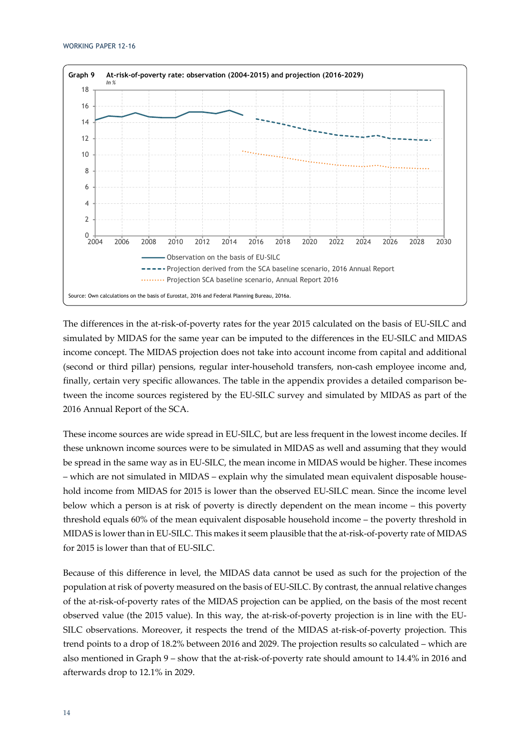

The differences in the at-risk-of-poverty rates for the year 2015 calculated on the basis of EU-SILC and simulated by MIDAS for the same year can be imputed to the differences in the EU-SILC and MIDAS income concept. The MIDAS projection does not take into account income from capital and additional (second or third pillar) pensions, regular inter-household transfers, non-cash employee income and, finally, certain very specific allowances. The table in the appendix provides a detailed comparison between the income sources registered by the EU-SILC survey and simulated by MIDAS as part of the 2016 Annual Report of the SCA.

These income sources are wide spread in EU-SILC, but are less frequent in the lowest income deciles. If these unknown income sources were to be simulated in MIDAS as well and assuming that they would be spread in the same way as in EU-SILC, the mean income in MIDAS would be higher. These incomes – which are not simulated in MIDAS – explain why the simulated mean equivalent disposable household income from MIDAS for 2015 is lower than the observed EU-SILC mean. Since the income level below which a person is at risk of poverty is directly dependent on the mean income – this poverty threshold equals 60% of the mean equivalent disposable household income – the poverty threshold in MIDAS is lower than in EU-SILC. This makes it seem plausible that the at-risk-of-poverty rate of MIDAS for 2015 is lower than that of EU-SILC.

Because of this difference in level, the MIDAS data cannot be used as such for the projection of the population at risk of poverty measured on the basis of EU-SILC. By contrast, the annual relative changes of the at-risk-of-poverty rates of the MIDAS projection can be applied, on the basis of the most recent observed value (the 2015 value). In this way, the at-risk-of-poverty projection is in line with the EU-SILC observations. Moreover, it respects the trend of the MIDAS at-risk-of-poverty projection. This trend points to a drop of 18.2% between 2016 and 2029. The projection results so calculated – which are also mentioned in Graph 9 – show that the at-risk-of-poverty rate should amount to 14.4% in 2016 and afterwards drop to 12.1% in 2029.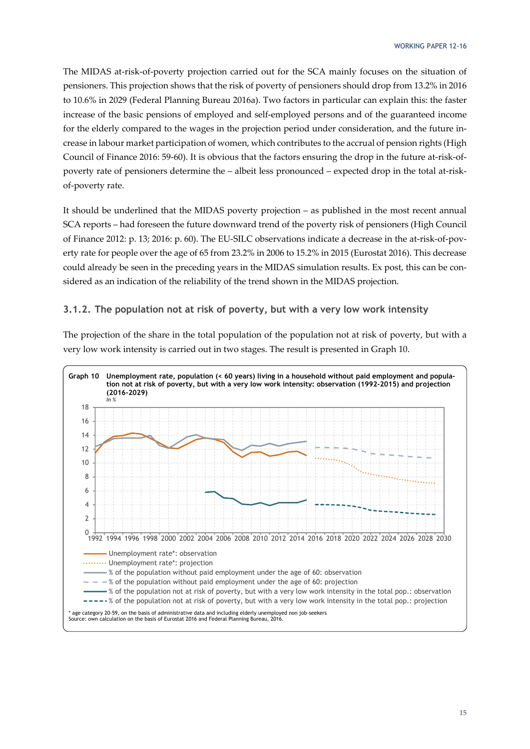The MIDAS at-risk-of-poverty projection carried out for the SCA mainly focuses on the situation of pensioners. This projection shows that the risk of poverty of pensioners should drop from 13.2% in 2016 to 10.6% in 2029 (Federal Planning Bureau 2016a). Two factors in particular can explain this: the faster increase of the basic pensions of employed and self-employed persons and of the guaranteed income for the elderly compared to the wages in the projection period under consideration, and the future increase in labour market participation of women, which contributes to the accrual of pension rights (High Council of Finance 2016: 59-60). It is obvious that the factors ensuring the drop in the future at-risk-ofpoverty rate of pensioners determine the – albeit less pronounced – expected drop in the total at-riskof-poverty rate.

It should be underlined that the MIDAS poverty projection – as published in the most recent annual SCA reports – had foreseen the future downward trend of the poverty risk of pensioners (High Council of Finance 2012: p. 13; 2016: p. 60). The EU-SILC observations indicate a decrease in the at-risk-of-poverty rate for people over the age of 65 from 23.2% in 2006 to 15.2% in 2015 (Eurostat 2016). This decrease could already be seen in the preceding years in the MIDAS simulation results. Ex post, this can be considered as an indication of the reliability of the trend shown in the MIDAS projection.

### **3.1.2. The population not at risk of poverty, but with a very low work intensity**

The projection of the share in the total population of the population not at risk of poverty, but with a very low work intensity is carried out in two stages. The result is presented in Graph 10.

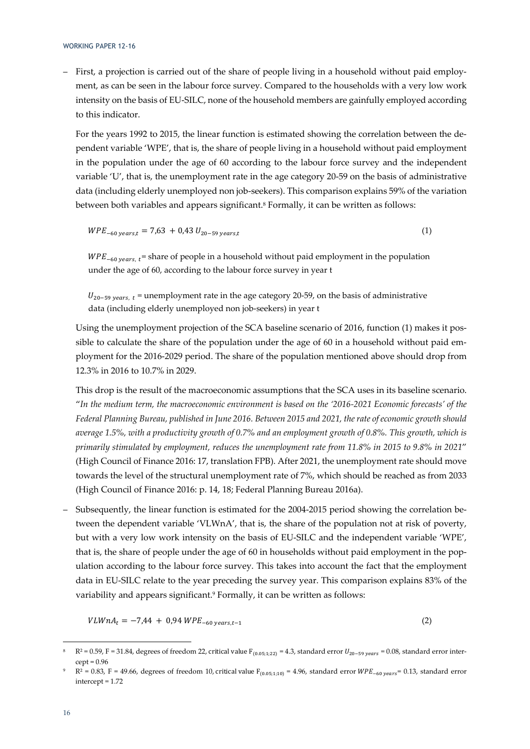– First, a projection is carried out of the share of people living in a household without paid employment, as can be seen in the labour force survey. Compared to the households with a very low work intensity on the basis of EU-SILC, none of the household members are gainfully employed according to this indicator.

For the years 1992 to 2015, the linear function is estimated showing the correlation between the dependent variable 'WPE', that is, the share of people living in a household without paid employment in the population under the age of 60 according to the labour force survey and the independent variable 'U', that is, the unemployment rate in the age category 20-59 on the basis of administrative data (including elderly unemployed non job-seekers). This comparison explains 59% of the variation between both variables and appears significant.<sup>8</sup> Formally, it can be written as follows:

 $WPE_{-60 \text{ years.}t} = 7,63 + 0,43 U_{20-59 \text{ years.}t}$  (1)

 $WPE_{-60 \text{ years}, t}$  = share of people in a household without paid employment in the population under the age of 60, according to the labour force survey in year t

 $U_{20-59 \, years, t}$  = unemployment rate in the age category 20-59, on the basis of administrative data (including elderly unemployed non job-seekers) in year t

Using the unemployment projection of the SCA baseline scenario of 2016, function (1) makes it possible to calculate the share of the population under the age of 60 in a household without paid employment for the 2016-2029 period. The share of the population mentioned above should drop from 12.3% in 2016 to 10.7% in 2029.

This drop is the result of the macroeconomic assumptions that the SCA uses in its baseline scenario. "*In the medium term, the macroeconomic environment is based on the '2016-2021 Economic forecasts' of the Federal Planning Bureau, published in June 2016. Between 2015 and 2021, the rate of economic growth should average 1.5%, with a productivity growth of 0.7% and an employment growth of 0.8%. This growth, which is primarily stimulated by employment, reduces the unemployment rate from 11.8% in 2015 to 9.8% in 2021*" (High Council of Finance 2016: 17, translation FPB). After 2021, the unemployment rate should move towards the level of the structural unemployment rate of 7%, which should be reached as from 2033 (High Council of Finance 2016: p. 14, 18; Federal Planning Bureau 2016a).

– Subsequently, the linear function is estimated for the 2004-2015 period showing the correlation between the dependent variable 'VLWnA', that is, the share of the population not at risk of poverty, but with a very low work intensity on the basis of EU-SILC and the independent variable 'WPE', that is, the share of people under the age of 60 in households without paid employment in the population according to the labour force survey. This takes into account the fact that the employment data in EU-SILC relate to the year preceding the survey year. This comparison explains 83% of the variability and appears significant.<sup>9</sup> Formally, it can be written as follows:

 $VLWnA_t = -7.44 + 0.94 WPE_{-60 \text{ years } t-1}$  (2)

 $R^2 = 0.59$ , F = 31.84, degrees of freedom 22, critical value  $F_{(0.05;1;22)} = 4.3$ , standard error  $U_{20-59 \text{ years}} = 0.08$ , standard error inter $cept = 0.96$ 

 $R^2 = 0.83$ , F = 49.66, degrees of freedom 10, critical value  $F_{(0.05;1:10)} = 4.96$ , standard error  $WPE_{-60 \text{ years}} = 0.13$ , standard error intercept = 1.72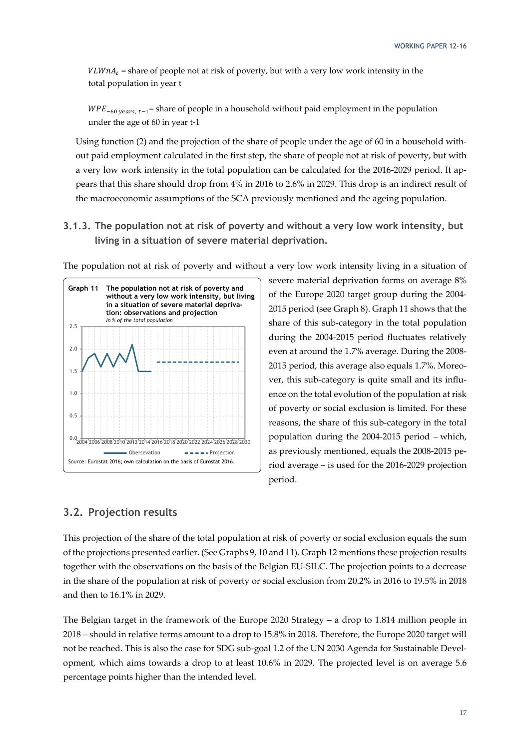$VLWnA_t$  = share of people not at risk of poverty, but with a very low work intensity in the total population in year t

 $WPE_{-60 \ years, t-1}$  = share of people in a household without paid employment in the population under the age of 60 in year t-1

Using function (2) and the projection of the share of people under the age of 60 in a household without paid employment calculated in the first step, the share of people not at risk of poverty, but with a very low work intensity in the total population can be calculated for the 2016-2029 period. It appears that this share should drop from 4% in 2016 to 2.6% in 2029. This drop is an indirect result of the macroeconomic assumptions of the SCA previously mentioned and the ageing population.

**3.1.3. The population not at risk of poverty and without a very low work intensity, but living in a situation of severe material deprivation.** 

The population not at risk of poverty and without a very low work intensity living in a situation of



severe material deprivation forms on average 8% of the Europe 2020 target group during the 2004- 2015 period (see Graph 8). Graph 11 shows that the share of this sub-category in the total population during the 2004-2015 period fluctuates relatively even at around the 1.7% average. During the 2008- 2015 period, this average also equals 1.7%. Moreover, this sub-category is quite small and its influence on the total evolution of the population at risk of poverty or social exclusion is limited. For these reasons, the share of this sub-category in the total population during the 2004-2015 period – which, as previously mentioned, equals the 2008-2015 period average – is used for the 2016-2029 projection period.

### **3.2. Projection results**

This projection of the share of the total population at risk of poverty or social exclusion equals the sum of the projections presented earlier. (See Graphs 9, 10 and 11). Graph 12 mentions these projection results together with the observations on the basis of the Belgian EU-SILC. The projection points to a decrease in the share of the population at risk of poverty or social exclusion from 20.2% in 2016 to 19.5% in 2018 and then to 16.1% in 2029.

The Belgian target in the framework of the Europe 2020 Strategy – a drop to 1.814 million people in 2018 – should in relative terms amount to a drop to 15.8% in 2018. Therefore, the Europe 2020 target will not be reached. This is also the case for SDG sub-goal 1.2 of the UN 2030 Agenda for Sustainable Development, which aims towards a drop to at least 10.6% in 2029. The projected level is on average 5.6 percentage points higher than the intended level.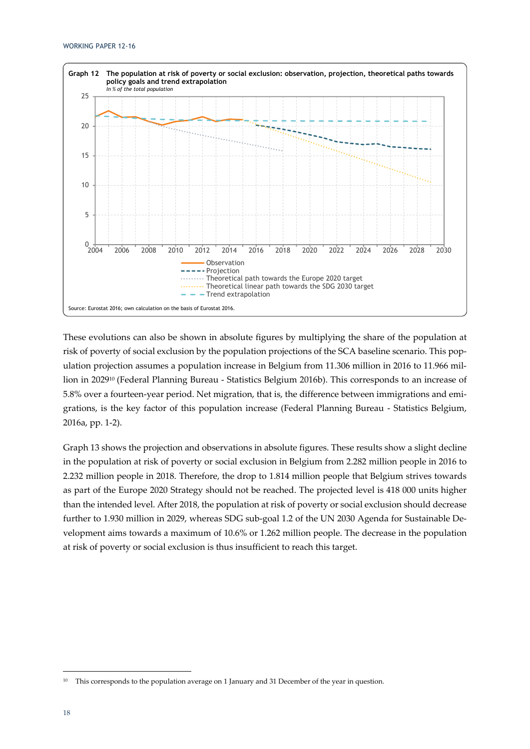

These evolutions can also be shown in absolute figures by multiplying the share of the population at risk of poverty of social exclusion by the population projections of the SCA baseline scenario. This population projection assumes a population increase in Belgium from 11.306 million in 2016 to 11.966 million in 202910 (Federal Planning Bureau - Statistics Belgium 2016b). This corresponds to an increase of 5.8% over a fourteen-year period. Net migration, that is, the difference between immigrations and emigrations, is the key factor of this population increase (Federal Planning Bureau - Statistics Belgium, 2016a, pp. 1-2).

Graph 13 shows the projection and observations in absolute figures. These results show a slight decline in the population at risk of poverty or social exclusion in Belgium from 2.282 million people in 2016 to 2.232 million people in 2018. Therefore, the drop to 1.814 million people that Belgium strives towards as part of the Europe 2020 Strategy should not be reached. The projected level is 418 000 units higher than the intended level. After 2018, the population at risk of poverty or social exclusion should decrease further to 1.930 million in 2029, whereas SDG sub-goal 1.2 of the UN 2030 Agenda for Sustainable Development aims towards a maximum of 10.6% or 1.262 million people. The decrease in the population at risk of poverty or social exclusion is thus insufficient to reach this target.

<sup>&</sup>lt;sup>10</sup> This corresponds to the population average on 1 January and 31 December of the year in question.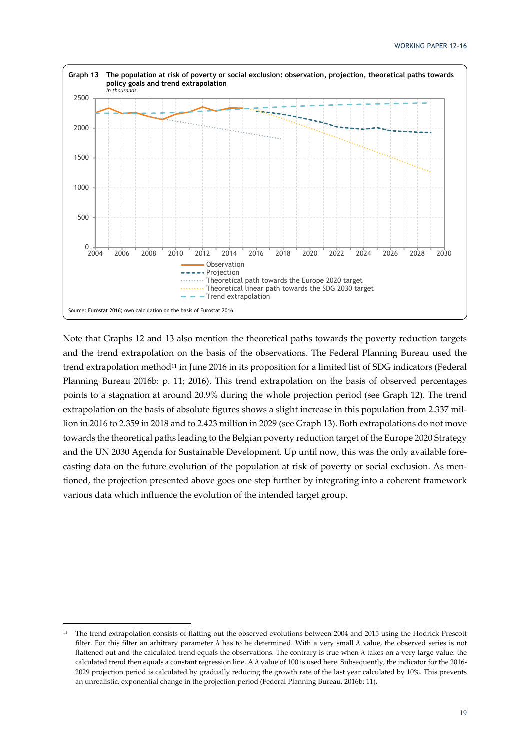

Note that Graphs 12 and 13 also mention the theoretical paths towards the poverty reduction targets and the trend extrapolation on the basis of the observations. The Federal Planning Bureau used the trend extrapolation method<sup>11</sup> in June 2016 in its proposition for a limited list of SDG indicators (Federal Planning Bureau 2016b: p. 11; 2016). This trend extrapolation on the basis of observed percentages points to a stagnation at around 20.9% during the whole projection period (see Graph 12). The trend extrapolation on the basis of absolute figures shows a slight increase in this population from 2.337 million in 2016 to 2.359 in 2018 and to 2.423 million in 2029 (see Graph 13). Both extrapolations do not move towards the theoretical paths leading to the Belgian poverty reduction target of the Europe 2020 Strategy and the UN 2030 Agenda for Sustainable Development. Up until now, this was the only available forecasting data on the future evolution of the population at risk of poverty or social exclusion. As mentioned, the projection presented above goes one step further by integrating into a coherent framework various data which influence the evolution of the intended target group.

<sup>&</sup>lt;sup>11</sup> The trend extrapolation consists of flatting out the observed evolutions between 2004 and 2015 using the Hodrick-Prescott filter. For this filter an arbitrary parameter  $\lambda$  has to be determined. With a very small  $\lambda$  value, the observed series is not flattened out and the calculated trend equals the observations. The contrary is true when  $\lambda$  takes on a very large value: the calculated trend then equals a constant regression line. A λ value of 100 is used here. Subsequently, the indicator for the 2016- 2029 projection period is calculated by gradually reducing the growth rate of the last year calculated by 10%. This prevents an unrealistic, exponential change in the projection period (Federal Planning Bureau, 2016b: 11).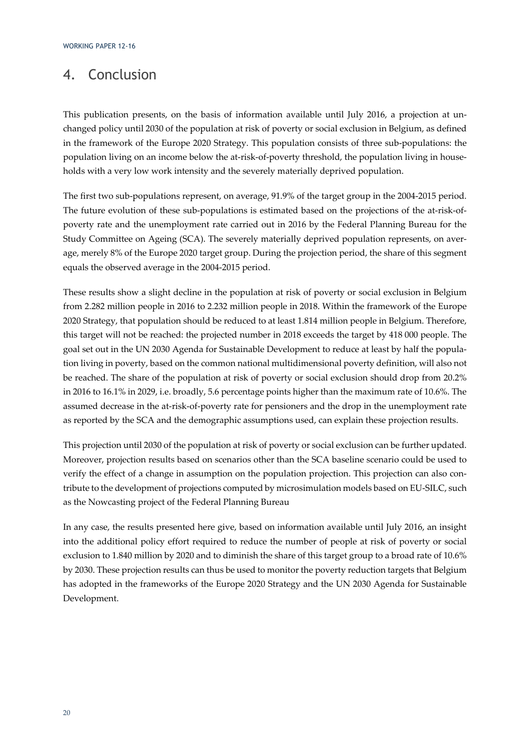### 4. Conclusion

This publication presents, on the basis of information available until July 2016, a projection at unchanged policy until 2030 of the population at risk of poverty or social exclusion in Belgium, as defined in the framework of the Europe 2020 Strategy. This population consists of three sub-populations: the population living on an income below the at-risk-of-poverty threshold, the population living in households with a very low work intensity and the severely materially deprived population.

The first two sub-populations represent, on average, 91.9% of the target group in the 2004-2015 period. The future evolution of these sub-populations is estimated based on the projections of the at-risk-ofpoverty rate and the unemployment rate carried out in 2016 by the Federal Planning Bureau for the Study Committee on Ageing (SCA). The severely materially deprived population represents, on average, merely 8% of the Europe 2020 target group. During the projection period, the share of this segment equals the observed average in the 2004-2015 period.

These results show a slight decline in the population at risk of poverty or social exclusion in Belgium from 2.282 million people in 2016 to 2.232 million people in 2018. Within the framework of the Europe 2020 Strategy, that population should be reduced to at least 1.814 million people in Belgium. Therefore, this target will not be reached: the projected number in 2018 exceeds the target by 418 000 people. The goal set out in the UN 2030 Agenda for Sustainable Development to reduce at least by half the population living in poverty, based on the common national multidimensional poverty definition, will also not be reached. The share of the population at risk of poverty or social exclusion should drop from 20.2% in 2016 to 16.1% in 2029, i.e. broadly, 5.6 percentage points higher than the maximum rate of 10.6%. The assumed decrease in the at-risk-of-poverty rate for pensioners and the drop in the unemployment rate as reported by the SCA and the demographic assumptions used, can explain these projection results.

This projection until 2030 of the population at risk of poverty or social exclusion can be further updated. Moreover, projection results based on scenarios other than the SCA baseline scenario could be used to verify the effect of a change in assumption on the population projection. This projection can also contribute to the development of projections computed by microsimulation models based on EU-SILC, such as the Nowcasting project of the Federal Planning Bureau

In any case, the results presented here give, based on information available until July 2016, an insight into the additional policy effort required to reduce the number of people at risk of poverty or social exclusion to 1.840 million by 2020 and to diminish the share of this target group to a broad rate of 10.6% by 2030. These projection results can thus be used to monitor the poverty reduction targets that Belgium has adopted in the frameworks of the Europe 2020 Strategy and the UN 2030 Agenda for Sustainable Development.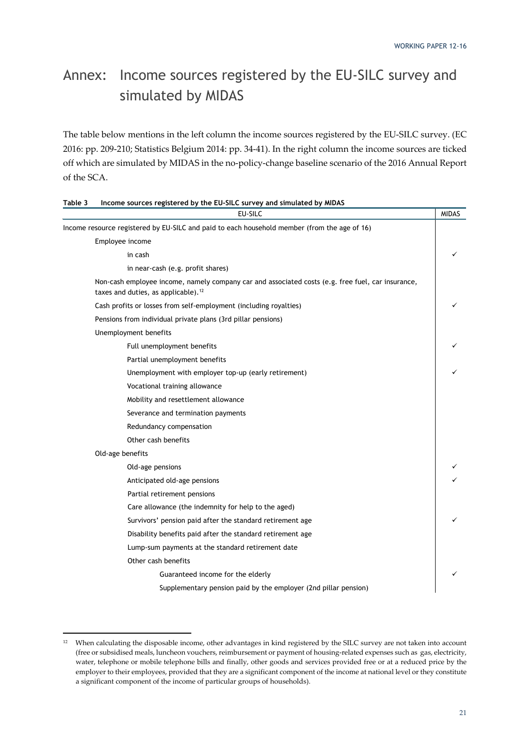# Annex: Income sources registered by the EU-SILC survey and simulated by MIDAS

The table below mentions in the left column the income sources registered by the EU-SILC survey. (EC 2016: pp. 209-210; Statistics Belgium 2014: pp. 34-41). In the right column the income sources are ticked off which are simulated by MIDAS in the no-policy-change baseline scenario of the 2016 Annual Report of the SCA.

| EU-SILC                                                                                                                                              | <b>MIDAS</b> |
|------------------------------------------------------------------------------------------------------------------------------------------------------|--------------|
| Income resource registered by EU-SILC and paid to each household member (from the age of 16)                                                         |              |
| Employee income                                                                                                                                      |              |
| in cash                                                                                                                                              | ✓            |
| in near-cash (e.g. profit shares)                                                                                                                    |              |
| Non-cash employee income, namely company car and associated costs (e.g. free fuel, car insurance,<br>taxes and duties, as applicable). <sup>12</sup> |              |
| Cash profits or losses from self-employment (including royalties)                                                                                    | ✓            |
| Pensions from individual private plans (3rd pillar pensions)                                                                                         |              |
| Unemployment benefits                                                                                                                                |              |
| Full unemployment benefits                                                                                                                           |              |
| Partial unemployment benefits                                                                                                                        |              |
| Unemployment with employer top-up (early retirement)                                                                                                 |              |
| Vocational training allowance                                                                                                                        |              |
| Mobility and resettlement allowance                                                                                                                  |              |
| Severance and termination payments                                                                                                                   |              |
| Redundancy compensation                                                                                                                              |              |
| Other cash benefits                                                                                                                                  |              |
| Old-age benefits                                                                                                                                     |              |
| Old-age pensions                                                                                                                                     |              |
| Anticipated old-age pensions                                                                                                                         |              |
| Partial retirement pensions                                                                                                                          |              |
| Care allowance (the indemnity for help to the aged)                                                                                                  |              |
| Survivors' pension paid after the standard retirement age                                                                                            | ✓            |
| Disability benefits paid after the standard retirement age                                                                                           |              |
| Lump-sum payments at the standard retirement date                                                                                                    |              |
| Other cash benefits                                                                                                                                  |              |
| Guaranteed income for the elderly                                                                                                                    |              |
| Supplementary pension paid by the employer (2nd pillar pension)                                                                                      |              |

| Table 3 | Income sources registered by the EU-SILC survey and simulated by MIDAS |
|---------|------------------------------------------------------------------------|
|         |                                                                        |

<sup>12</sup> When calculating the disposable income, other advantages in kind registered by the SILC survey are not taken into account (free or subsidised meals, luncheon vouchers, reimbursement or payment of housing-related expenses such as gas, electricity, water, telephone or mobile telephone bills and finally, other goods and services provided free or at a reduced price by the employer to their employees, provided that they are a significant component of the income at national level or they constitute a significant component of the income of particular groups of households).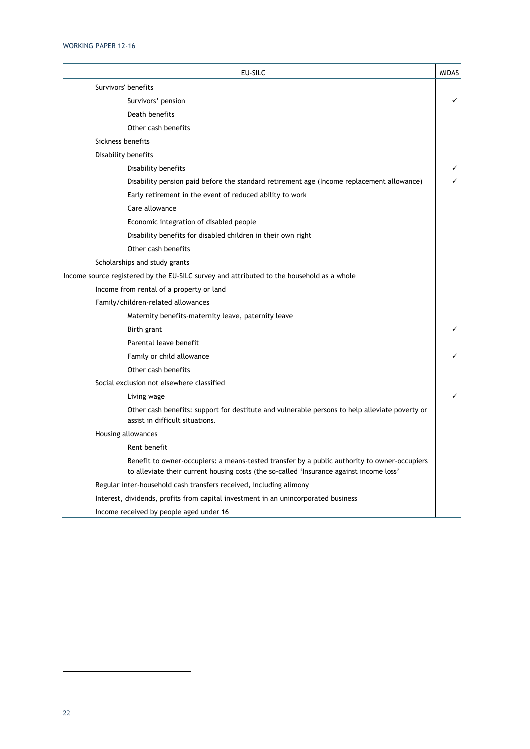| EU-SILC                                                                                                                                                                                 | <b>MIDAS</b> |
|-----------------------------------------------------------------------------------------------------------------------------------------------------------------------------------------|--------------|
| Survivors' benefits                                                                                                                                                                     |              |
| Survivors' pension                                                                                                                                                                      | ✓            |
| Death benefits                                                                                                                                                                          |              |
| Other cash benefits                                                                                                                                                                     |              |
| Sickness benefits                                                                                                                                                                       |              |
| Disability benefits                                                                                                                                                                     |              |
| Disability benefits                                                                                                                                                                     |              |
| Disability pension paid before the standard retirement age (Income replacement allowance)                                                                                               |              |
| Early retirement in the event of reduced ability to work                                                                                                                                |              |
| Care allowance                                                                                                                                                                          |              |
| Economic integration of disabled people                                                                                                                                                 |              |
| Disability benefits for disabled children in their own right                                                                                                                            |              |
| Other cash benefits                                                                                                                                                                     |              |
| Scholarships and study grants                                                                                                                                                           |              |
| Income source registered by the EU-SILC survey and attributed to the household as a whole                                                                                               |              |
| Income from rental of a property or land                                                                                                                                                |              |
| Family/children-related allowances                                                                                                                                                      |              |
| Maternity benefits-maternity leave, paternity leave                                                                                                                                     |              |
| Birth grant                                                                                                                                                                             |              |
| Parental leave benefit                                                                                                                                                                  |              |
| Family or child allowance                                                                                                                                                               |              |
| Other cash benefits                                                                                                                                                                     |              |
| Social exclusion not elsewhere classified                                                                                                                                               |              |
| Living wage                                                                                                                                                                             |              |
| Other cash benefits: support for destitute and vulnerable persons to help alleviate poverty or<br>assist in difficult situations.                                                       |              |
| Housing allowances                                                                                                                                                                      |              |
| Rent benefit                                                                                                                                                                            |              |
| Benefit to owner-occupiers: a means-tested transfer by a public authority to owner-occupiers<br>to alleviate their current housing costs (the so-called 'Insurance against income loss' |              |
| Regular inter-household cash transfers received, including alimony                                                                                                                      |              |
| Interest, dividends, profits from capital investment in an unincorporated business                                                                                                      |              |
| Income received by people aged under 16                                                                                                                                                 |              |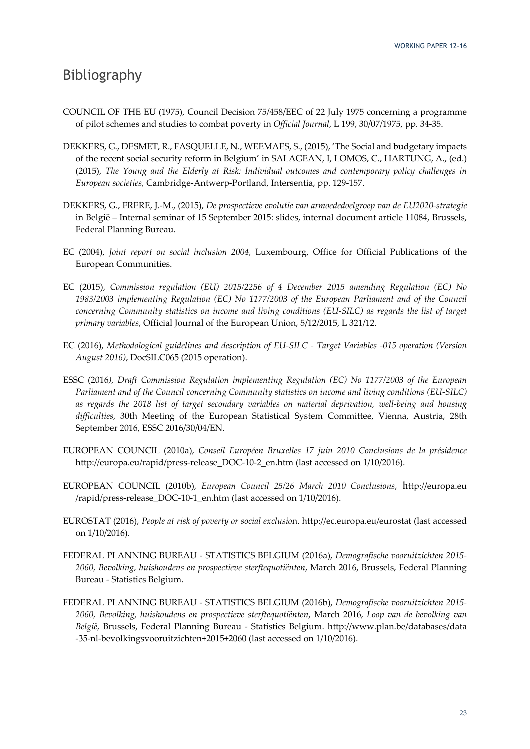### Bibliography

- COUNCIL OF THE EU (1975), Council Decision 75/458/EEC of 22 July 1975 concerning a programme of pilot schemes and studies to combat poverty in *Official Journal*, L 199, 30/07/1975, pp. 34-35.
- DEKKERS, G., DESMET, R., FASQUELLE, N., WEEMAES, S., (2015), 'The Social and budgetary impacts of the recent social security reform in Belgium' in SALAGEAN, I, LOMOS, C., HARTUNG, A., (ed.) (2015), *The Young and the Elderly at Risk: Individual outcomes and contemporary policy challenges in European societies,* Cambridge-Antwerp-Portland, Intersentia, pp. 129-157.
- DEKKERS, G., FRERE, J.-M., (2015), *De prospectieve evolutie van armoededoelgroep van de EU2020-strategie*  in België – Internal seminar of 15 September 2015: slides, internal document article 11084, Brussels, Federal Planning Bureau.
- EC (2004), *Joint report on social inclusion 2004,* Luxembourg, Office for Official Publications of the European Communities.
- EC (2015), *Commission regulation (EU) 2015/2256 of 4 December 2015 amending Regulation (EC) No 1983/2003 implementing Regulation (EC) No 1177/2003 of the European Parliament and of the Council concerning Community statistics on income and living conditions (EU-SILC) as regards the list of target primary variables*, Official Journal of the European Union, 5/12/2015, L 321/12.
- EC (2016), *Methodological guidelines and description of EU-SILC Target Variables -015 operation (Version August 2016)*, DocSILC065 (2015 operation).
- ESSC (2016*), Draft Commission Regulation implementing Regulation (EC) No 1177/2003 of the European Parliament and of the Council concerning Community statistics on income and living conditions (EU-SILC) as regards the 2018 list of target secondary variables on material deprivation, well-being and housing difficulties*, 30th Meeting of the European Statistical System Committee, Vienna, Austria, 28th September 2016, ESSC 2016/30/04/EN.
- EUROPEAN COUNCIL (2010a), *Conseil Européen Bruxelles 17 juin 2010 Conclusions de la présidence* http://europa.eu/rapid/press-release\_DOC-10-2\_en.htm (last accessed on 1/10/2016).
- EUROPEAN COUNCIL (2010b), *European Council 25/26 March 2010 Conclusions*, http://europa.eu /rapid/press-release\_DOC-10-1\_en.htm (last accessed on 1/10/2016).
- EUROSTAT (2016), *People at risk of poverty or social exclusio*n. http://ec.europa.eu/eurostat (last accessed on 1/10/2016).
- FEDERAL PLANNING BUREAU STATISTICS BELGIUM (2016a), *Demografische vooruitzichten 2015- 2060, Bevolking, huishoudens en prospectieve sterftequotiënten*, March 2016, Brussels, Federal Planning Bureau - Statistics Belgium.
- FEDERAL PLANNING BUREAU STATISTICS BELGIUM (2016b), *Demografische vooruitzichten 2015- 2060, Bevolking, huishoudens en prospectieve sterftequotiënten*, March 2016, *Loop van de bevolking van België,* Brussels, Federal Planning Bureau - Statistics Belgium. http://www.plan.be/databases/data -35-nl-bevolkingsvooruitzichten+2015+2060 (last accessed on 1/10/2016).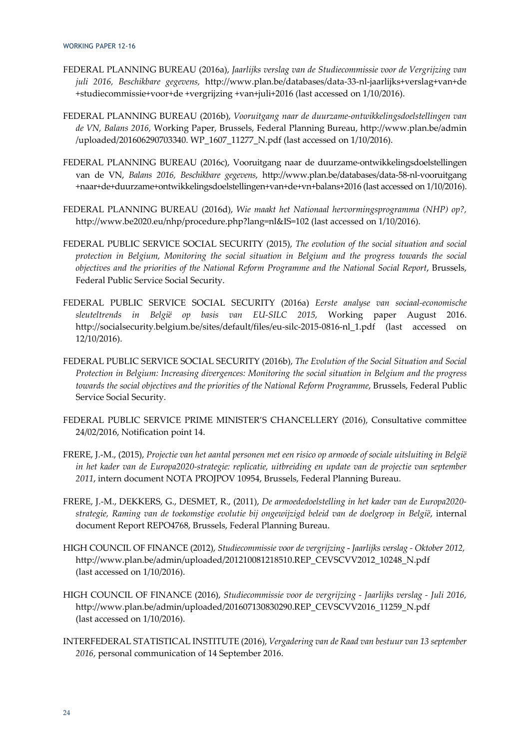- FEDERAL PLANNING BUREAU (2016a), *Jaarlijks verslag van de Studiecommissie voor de Vergrijzing van juli 2016, Beschikbare gegevens,* http://www.plan.be/databases/data-33-nl-jaarlijks+verslag+van+de +studiecommissie+voor+de +vergrijzing +van+juli+2016 (last accessed on 1/10/2016).
- FEDERAL PLANNING BUREAU (2016b), *Vooruitgang naar de duurzame-ontwikkelingsdoelstellingen van de VN, Balans 2016,* Working Paper, Brussels, Federal Planning Bureau, http://www.plan.be/admin /uploaded/201606290703340. WP\_1607\_11277\_N.pdf (last accessed on 1/10/2016).
- FEDERAL PLANNING BUREAU (2016c), Vooruitgang naar de duurzame-ontwikkelingsdoelstellingen van de VN, *Balans 2016, Beschikbare gegevens*, http://www.plan.be/databases/data-58-nl-vooruitgang +naar+de+duurzame+ontwikkelingsdoelstellingen+van+de+vn+balans+2016 (last accessed on 1/10/2016).
- FEDERAL PLANNING BUREAU (2016d), *Wie maakt het Nationaal hervormingsprogramma (NHP) op?,*  http://www.be2020.eu/nhp/procedure.php?lang=nl&IS=102 (last accessed on 1/10/2016).
- FEDERAL PUBLIC SERVICE SOCIAL SECURITY (2015), *The evolution of the social situation and social protection in Belgium, Monitoring the social situation in Belgium and the progress towards the social objectives and the priorities of the National Reform Programme and the National Social Report*, Brussels, Federal Public Service Social Security.
- FEDERAL PUBLIC SERVICE SOCIAL SECURITY (2016a) *Eerste analyse van sociaal-economische sleuteltrends in België op basis van EU-SILC 2015,* Working paper August 2016. http://socialsecurity.belgium.be/sites/default/files/eu-silc-2015-0816-nl\_1.pdf (last accessed on 12/10/2016).
- FEDERAL PUBLIC SERVICE SOCIAL SECURITY (2016b), *The Evolution of the Social Situation and Social Protection in Belgium: Increasing divergences: Monitoring the social situation in Belgium and the progress towards the social objectives and the priorities of the National Reform Programme*, Brussels, Federal Public Service Social Security.
- FEDERAL PUBLIC SERVICE PRIME MINISTER'S CHANCELLERY (2016), Consultative committee 24/02/2016, Notification point 14.
- FRERE, J.-M., (2015), *Projectie van het aantal personen met een risico op armoede of sociale uitsluiting in België in het kader van de Europa2020-strategie: replicatie, uitbreiding en update van de projectie van september 2011*, intern document NOTA PROJPOV 10954, Brussels, Federal Planning Bureau.
- FRERE, J.-M., DEKKERS, G., DESMET, R., (2011), *De armoededoelstelling in het kader van de Europa2020 strategie, Raming van de toekomstige evolutie bij ongewijzigd beleid van de doelgroep in België*, internal document Report REPO4768, Brussels, Federal Planning Bureau.
- HIGH COUNCIL OF FINANCE (2012), *Studiecommissie voor de vergrijzing Jaarlijks verslag - Oktober 2012,* http://www.plan.be/admin/uploaded/201210081218510.REP\_CEVSCVV2012\_10248\_N.pdf (last accessed on 1/10/2016).
- HIGH COUNCIL OF FINANCE (2016), *Studiecommissie voor de vergrijzing Jaarlijks verslag Juli 2016,*  http://www.plan.be/admin/uploaded/201607130830290.REP\_CEVSCVV2016\_11259\_N.pdf (last accessed on 1/10/2016).
- INTERFEDERAL STATISTICAL INSTITUTE (2016), *Vergadering van de Raad van bestuur van 13 september 2016*, personal communication of 14 September 2016.